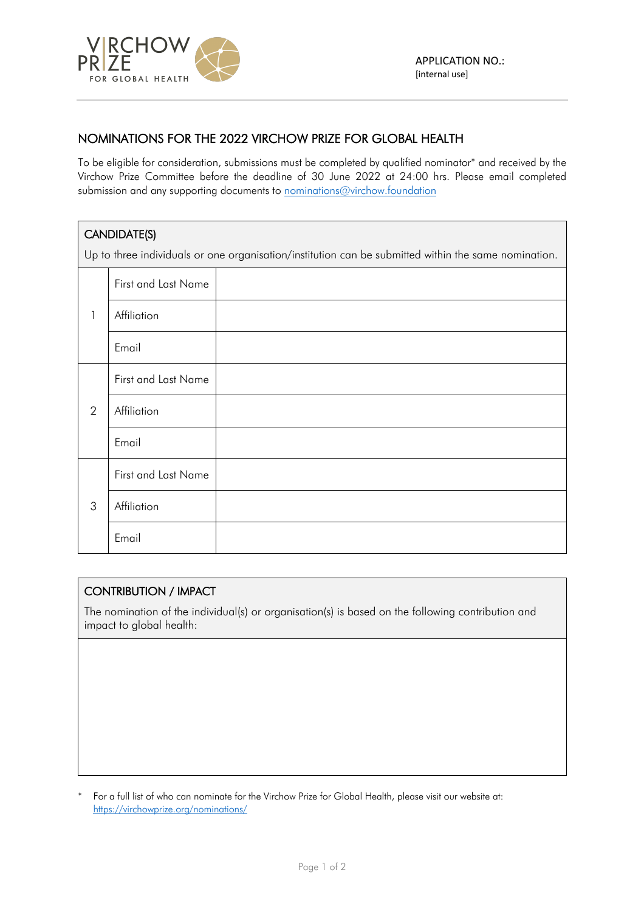

## NOMINATIONS FOR THE 2022 VIRCHOW PRIZE FOR GLOBAL HEALTH

To be eligible for consideration, submissions must be completed by qualified nominator\* and received by the Virchow Prize Committee before the deadline of 30 June 2022 at 24:00 hrs. Please email completed submission and any supporting documents to nominations@virchow.foundation

## CANDIDATE(S)

Up to three individuals or one organisation/institution can be submitted within the same nomination.

| 1 | First and Last Name |  |
|---|---------------------|--|
|   | Affiliation         |  |
|   | Email               |  |
| 2 | First and Last Name |  |
|   | Affiliation         |  |
|   | Email               |  |
| 3 | First and Last Name |  |
|   | Affiliation         |  |
|   | Email               |  |

## CONTRIBUTION / IMPACT

The nomination of the individual(s) or organisation(s) is based on the following contribution and impact to global health:

For a full list of who can nominate for the Virchow Prize for Global Health, please visit our website at: https://virchowprize.org/nominations/